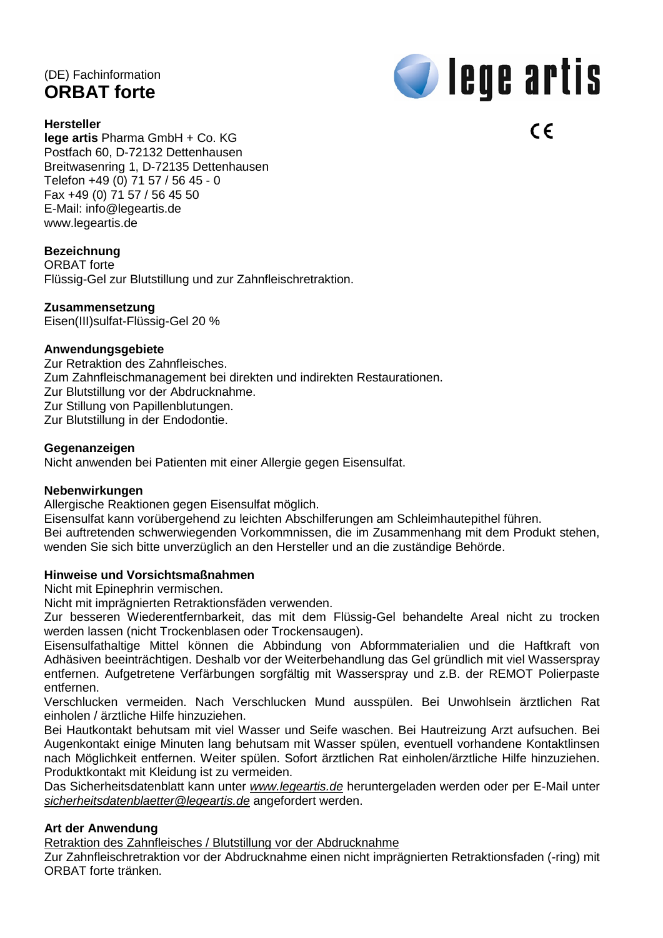# (DE) Fachinformation **ORBAT forte**

#### **Hersteller**



 $\epsilon$ 

**lege artis** Pharma GmbH + Co. KG Postfach 60, D-72132 Dettenhausen Breitwasenring 1, D-72135 Dettenhausen Telefon +49 (0) 71 57 / 56 45 - 0 Fax +49 (0) 71 57 / 56 45 50 E-Mail: [info@legeartis.de](mailto:info@legeartis.de) www.legeartis.de

#### **Bezeichnung**

ORBAT forte

Flüssig-Gel zur Blutstillung und zur Zahnfleischretraktion.

#### **Zusammensetzung**

Eisen(III)sulfat-Flüssig-Gel 20 %

#### **Anwendungsgebiete**

Zur Retraktion des Zahnfleisches. Zum Zahnfleischmanagement bei direkten und indirekten Restaurationen. Zur Blutstillung vor der Abdrucknahme. Zur Stillung von Papillenblutungen. Zur Blutstillung in der Endodontie.

#### **Gegenanzeigen**

Nicht anwenden bei Patienten mit einer Allergie gegen Eisensulfat.

#### **Nebenwirkungen**

Allergische Reaktionen gegen Eisensulfat möglich.

Eisensulfat kann vorübergehend zu leichten Abschilferungen am Schleimhautepithel führen. Bei auftretenden schwerwiegenden Vorkommnissen, die im Zusammenhang mit dem Produkt stehen, wenden Sie sich bitte unverzüglich an den Hersteller und an die zuständige Behörde.

#### **Hinweise und Vorsichtsmaßnahmen**

Nicht mit Epinephrin vermischen.

Nicht mit imprägnierten Retraktionsfäden verwenden.

Zur besseren Wiederentfernbarkeit, das mit dem Flüssig-Gel behandelte Areal nicht zu trocken werden lassen (nicht Trockenblasen oder Trockensaugen).

Eisensulfathaltige Mittel können die Abbindung von Abformmaterialien und die Haftkraft von Adhäsiven beeinträchtigen. Deshalb vor der Weiterbehandlung das Gel gründlich mit viel Wasserspray entfernen. Aufgetretene Verfärbungen sorgfältig mit Wasserspray und z.B. der REMOT Polierpaste entfernen.

Verschlucken vermeiden. Nach Verschlucken Mund ausspülen. Bei Unwohlsein ärztlichen Rat einholen / ärztliche Hilfe hinzuziehen.

Bei Hautkontakt behutsam mit viel Wasser und Seife waschen. Bei Hautreizung Arzt aufsuchen. Bei Augenkontakt einige Minuten lang behutsam mit Wasser spülen, eventuell vorhandene Kontaktlinsen nach Möglichkeit entfernen. Weiter spülen. Sofort ärztlichen Rat einholen/ärztliche Hilfe hinzuziehen. Produktkontakt mit Kleidung ist zu vermeiden.

Das Sicherheitsdatenblatt kann unter *[www.legeartis.de](http://www.legeartis.de/)* heruntergeladen werden oder per E-Mail unter *[sicherheitsdatenblaetter@legeartis.de](mailto:sicherheitsdatenblaetter@legeartis.de)* angefordert werden.

## **Art der Anwendung**

Retraktion des Zahnfleisches / Blutstillung vor der Abdrucknahme

Zur Zahnfleischretraktion vor der Abdrucknahme einen nicht imprägnierten Retraktionsfaden (-ring) mit ORBAT forte tränken.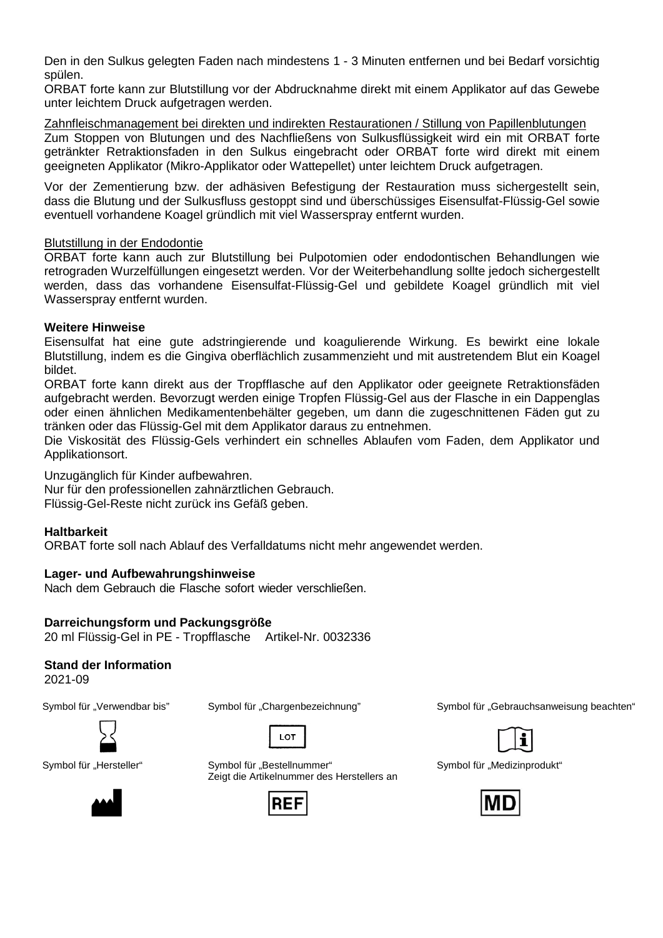Den in den Sulkus gelegten Faden nach mindestens 1 - 3 Minuten entfernen und bei Bedarf vorsichtig spülen.

ORBAT forte kann zur Blutstillung vor der Abdrucknahme direkt mit einem Applikator auf das Gewebe unter leichtem Druck aufgetragen werden.

Zahnfleischmanagement bei direkten und indirekten Restaurationen / Stillung von Papillenblutungen Zum Stoppen von Blutungen und des Nachfließens von Sulkusflüssigkeit wird ein mit ORBAT forte getränkter Retraktionsfaden in den Sulkus eingebracht oder ORBAT forte wird direkt mit einem geeigneten Applikator (Mikro-Applikator oder Wattepellet) unter leichtem Druck aufgetragen.

Vor der Zementierung bzw. der adhäsiven Befestigung der Restauration muss sichergestellt sein, dass die Blutung und der Sulkusfluss gestoppt sind und überschüssiges Eisensulfat-Flüssig-Gel sowie eventuell vorhandene Koagel gründlich mit viel Wasserspray entfernt wurden.

#### Blutstillung in der Endodontie

ORBAT forte kann auch zur Blutstillung bei Pulpotomien oder endodontischen Behandlungen wie retrograden Wurzelfüllungen eingesetzt werden. Vor der Weiterbehandlung sollte jedoch sichergestellt werden, dass das vorhandene Eisensulfat-Flüssig-Gel und gebildete Koagel gründlich mit viel Wasserspray entfernt wurden.

#### **Weitere Hinweise**

Eisensulfat hat eine gute adstringierende und koagulierende Wirkung. Es bewirkt eine lokale Blutstillung, indem es die Gingiva oberflächlich zusammenzieht und mit austretendem Blut ein Koagel bildet.

ORBAT forte kann direkt aus der Tropfflasche auf den Applikator oder geeignete Retraktionsfäden aufgebracht werden. Bevorzugt werden einige Tropfen Flüssig-Gel aus der Flasche in ein Dappenglas oder einen ähnlichen Medikamentenbehälter gegeben, um dann die zugeschnittenen Fäden gut zu tränken oder das Flüssig-Gel mit dem Applikator daraus zu entnehmen.

Die Viskosität des Flüssig-Gels verhindert ein schnelles Ablaufen vom Faden, dem Applikator und Applikationsort.

Unzugänglich für Kinder aufbewahren.

Nur für den professionellen zahnärztlichen Gebrauch. Flüssig-Gel-Reste nicht zurück ins Gefäß geben.

## **Haltbarkeit**

ORBAT forte soll nach Ablauf des Verfalldatums nicht mehr angewendet werden.

## **Lager- und Aufbewahrungshinweise**

Nach dem Gebrauch die Flasche sofort wieder verschließen.

#### **Darreichungsform und Packungsgröße**

20 ml Flüssig-Gel in PE - Tropfflasche Artikel-Nr. 0032336

## **Stand der Information**

2021-09





Symbol für "Hersteller" Symbol für "Bestellnummer"



Zeigt die Artikelnummer des Herstellers an



Symbol für "Verwendbar bis" Symbol für "Chargenbezeichnung" Symbol für "Gebrauchsanweisung beachten"



Symbol für "Medizinprodukt"



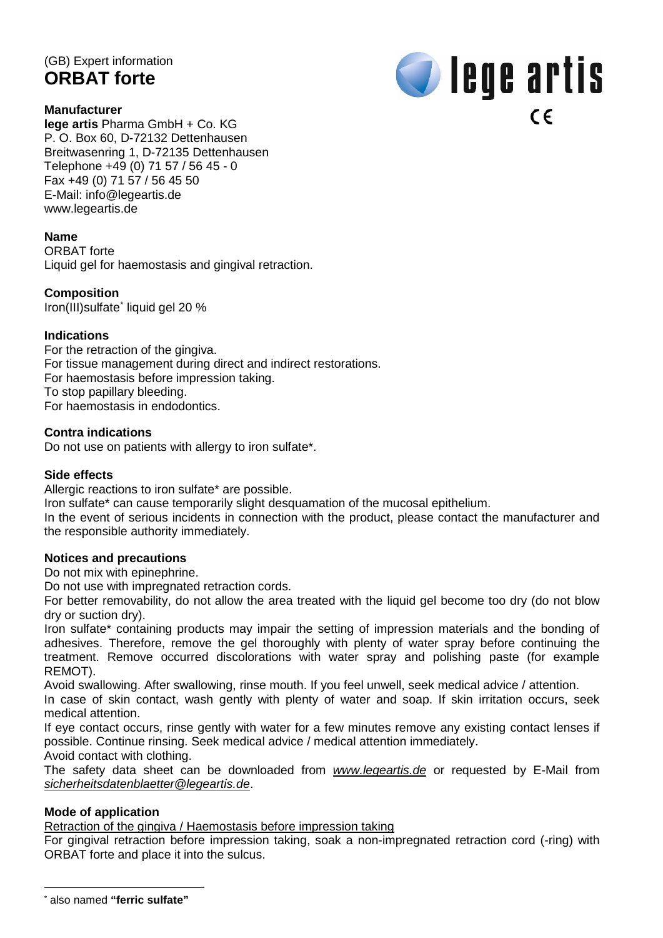# (GB) Expert information **ORBAT forte**

#### **Manufacturer**



**lege artis** Pharma GmbH + Co. KG P. O. Box 60, D-72132 Dettenhausen Breitwasenring 1, D-72135 Dettenhausen Telephone +49 (0) 71 57 / 56 45 - 0 Fax +49 (0) 71 57 / 56 45 50 E-Mail: [info@legeartis.de](mailto:info@legeartis.de) [www.legeartis.de](http://www.legeartis.de/)

#### **Name**

ORBAT forte Liquid gel for haemostasis and gingival retraction.

#### **Composition**

Iron(III)sulfate[\\*](#page-2-0) liquid gel 20 %

#### **Indications**

For the retraction of the gingiva. For tissue management during direct and indirect restorations. For haemostasis before impression taking. To stop papillary bleeding. For haemostasis in endodontics.

#### **Contra indications**

Do not use on patients with allergy to iron sulfate\*.

#### **Side effects**

Allergic reactions to iron sulfate\* are possible.

Iron sulfate\* can cause temporarily slight desquamation of the mucosal epithelium.

In the event of serious incidents in connection with the product, please contact the manufacturer and the responsible authority immediately.

#### **Notices and precautions**

Do not mix with epinephrine.

Do not use with impregnated retraction cords.

For better removability, do not allow the area treated with the liquid gel become too dry (do not blow dry or suction dry).

Iron sulfate\* containing products may impair the setting of impression materials and the bonding of adhesives. Therefore, remove the gel thoroughly with plenty of water spray before continuing the treatment. Remove occurred discolorations with water spray and polishing paste (for example REMOT).

Avoid swallowing. After swallowing, rinse mouth. If you feel unwell, seek medical advice / attention.

In case of skin contact, wash gently with plenty of water and soap. If skin irritation occurs, seek medical attention.

If eye contact occurs, rinse gently with water for a few minutes remove any existing contact lenses if possible. Continue rinsing. Seek medical advice / medical attention immediately.

Avoid contact with clothing.

The safety data sheet can be downloaded from *[www.legeartis.de](http://www.legeartis.de/)* or requested by E-Mail from *[sicherheitsdatenblaetter@legeartis.de](mailto:sicherheitsdatenblaetter@legeartis.de)*.

#### **Mode of application**

Retraction of the gingiva / Haemostasis before impression taking

For gingival retraction before impression taking, soak a non-impregnated retraction cord (-ring) with ORBAT forte and place it into the sulcus.

<span id="page-2-0"></span> <sup>\*</sup> also named **"ferric sulfate"**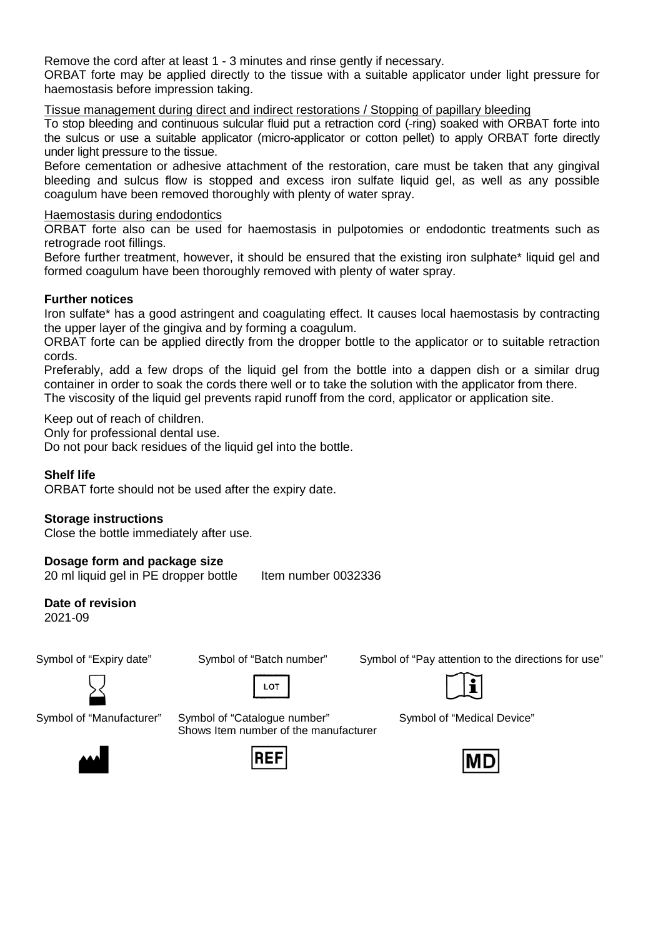Remove the cord after at least 1 - 3 minutes and rinse gently if necessary.

ORBAT forte may be applied directly to the tissue with a suitable applicator under light pressure for haemostasis before impression taking.

Tissue management during direct and indirect restorations / Stopping of papillary bleeding

To stop bleeding and continuous sulcular fluid put a retraction cord (-ring) soaked with ORBAT forte into the sulcus or use a suitable applicator (micro-applicator or cotton pellet) to apply ORBAT forte directly under light pressure to the tissue.

Before cementation or adhesive attachment of the restoration, care must be taken that any gingival bleeding and sulcus flow is stopped and excess iron sulfate liquid gel, as well as any possible coagulum have been removed thoroughly with plenty of water spray.

## Haemostasis during endodontics

ORBAT forte also can be used for haemostasis in pulpotomies or endodontic treatments such as retrograde root fillings.

Before further treatment, however, it should be ensured that the existing iron sulphate\* liquid gel and formed coagulum have been thoroughly removed with plenty of water spray.

## **Further notices**

Iron sulfate\* has a good astringent and coagulating effect. It causes local haemostasis by contracting the upper layer of the gingiva and by forming a coagulum.

ORBAT forte can be applied directly from the dropper bottle to the applicator or to suitable retraction cords.

Preferably, add a few drops of the liquid gel from the bottle into a dappen dish or a similar drug container in order to soak the cords there well or to take the solution with the applicator from there.

The viscosity of the liquid gel prevents rapid runoff from the cord, applicator or application site.

Keep out of reach of children.

Only for professional dental use.

Do not pour back residues of the liquid gel into the bottle.

## **Shelf life**

ORBAT forte should not be used after the expiry date.

#### **Storage instructions**

Close the bottle immediately after use.

## **Dosage form and package size**

20 ml liquid gel in PE dropper bottle Item number 0032336

## **Date of revision**

2021-09

Symbol of "Expiry date" Symbol of "Batch number" Symbol of "Pay attention to the directions for use"



 $10T$ 



Symbol of "Manufacturer" Symbol of "Catalogue number" Shows Item number of the manufacturer





RFI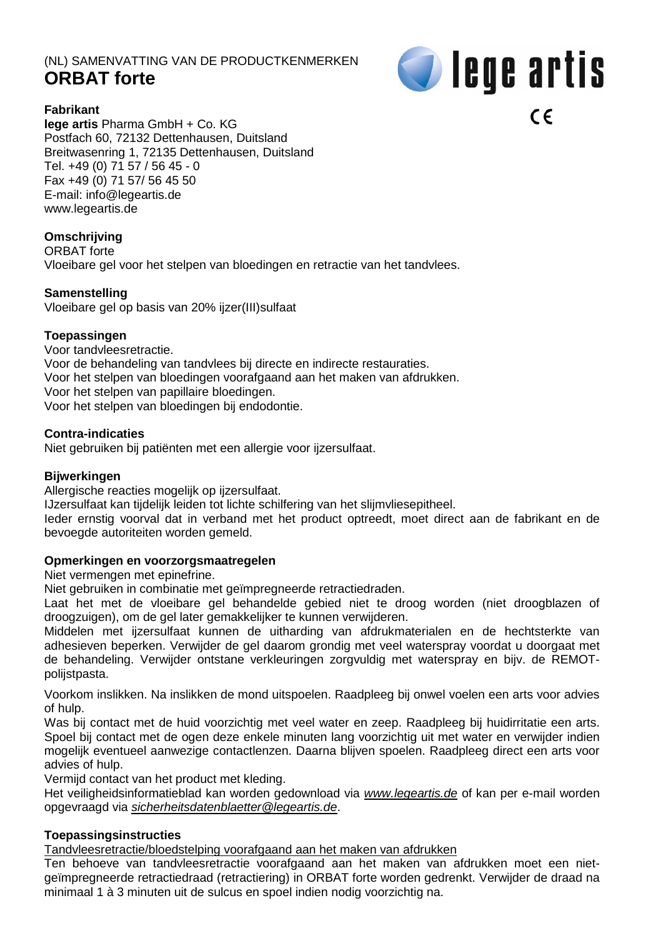## (NL) SAMENVATTING VAN DE PRODUCTKENMERKEN **ORBAT forte**



## **Fabrikant**

**lege artis** Pharma GmbH + Co. KG Postfach 60, 72132 Dettenhausen, Duitsland Breitwasenring 1, 72135 Dettenhausen, Duitsland Tel. +49 (0) 71 57 / 56 45 - 0 Fax +49 (0) 71 57/ 56 45 50 E-mail: [info@legeartis.de](mailto:info@legeartis.de) www.legeartis.de

## **Omschrijving**

ORBAT forte Vloeibare gel voor het stelpen van bloedingen en retractie van het tandvlees.

## **Samenstelling**

Vloeibare gel op basis van 20% ijzer(III)sulfaat

#### **Toepassingen**

Voor tandvleesretractie. Voor de behandeling van tandvlees bij directe en indirecte restauraties. Voor het stelpen van bloedingen voorafgaand aan het maken van afdrukken. Voor het stelpen van papillaire bloedingen. Voor het stelpen van bloedingen bij endodontie.

#### **Contra-indicaties**

Niet gebruiken bij patiënten met een allergie voor ijzersulfaat.

#### **Bijwerkingen**

Allergische reacties mogelijk op ijzersulfaat.

IJzersulfaat kan tijdelijk leiden tot lichte schilfering van het slijmvliesepitheel.

Ieder ernstig voorval dat in verband met het product optreedt, moet direct aan de fabrikant en de bevoegde autoriteiten worden gemeld.

## **Opmerkingen en voorzorgsmaatregelen**

Niet vermengen met epinefrine.

Niet gebruiken in combinatie met geïmpregneerde retractiedraden.

Laat het met de vloeibare gel behandelde gebied niet te droog worden (niet droogblazen of droogzuigen), om de gel later gemakkelijker te kunnen verwijderen.

Middelen met ijzersulfaat kunnen de uitharding van afdrukmaterialen en de hechtsterkte van adhesieven beperken. Verwijder de gel daarom grondig met veel waterspray voordat u doorgaat met de behandeling. Verwijder ontstane verkleuringen zorgvuldig met waterspray en bijv. de REMOTpolijstpasta.

Voorkom inslikken. Na inslikken de mond uitspoelen. Raadpleeg bij onwel voelen een arts voor advies of hulp.

Was bij contact met de huid voorzichtig met veel water en zeep. Raadpleeg bij huidirritatie een arts. Spoel bij contact met de ogen deze enkele minuten lang voorzichtig uit met water en verwijder indien mogelijk eventueel aanwezige contactlenzen. Daarna blijven spoelen. Raadpleeg direct een arts voor advies of hulp.

Vermijd contact van het product met kleding.

Het veiligheidsinformatieblad kan worden gedownload via *[www.legeartis.de](http://www.legeartis.de/)* of kan per e-mail worden opgevraagd via *[sicherheitsdatenblaetter@legeartis.de](mailto:sicherheitsdatenblaetter@legeartis.de)*.

## **Toepassingsinstructies**

Tandvleesretractie/bloedstelping voorafgaand aan het maken van afdrukken

Ten behoeve van tandvleesretractie voorafgaand aan het maken van afdrukken moet een nietgeïmpregneerde retractiedraad (retractiering) in ORBAT forte worden gedrenkt. Verwijder de draad na minimaal 1 à 3 minuten uit de sulcus en spoel indien nodig voorzichtig na.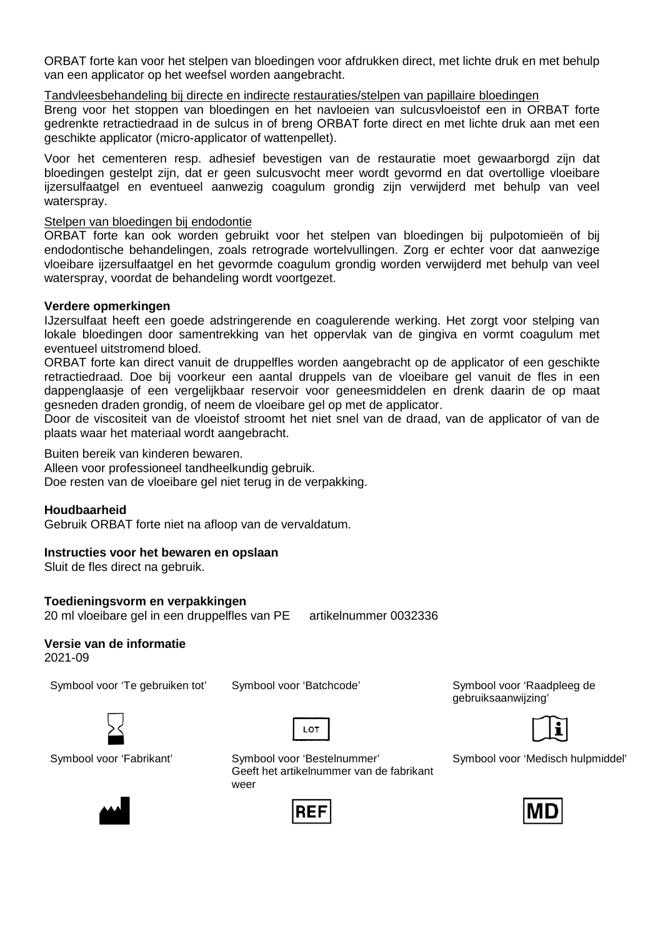ORBAT forte kan voor het stelpen van bloedingen voor afdrukken direct, met lichte druk en met behulp van een applicator op het weefsel worden aangebracht.

Tandvleesbehandeling bij directe en indirecte restauraties/stelpen van papillaire bloedingen

Breng voor het stoppen van bloedingen en het navloeien van sulcusvloeistof een in ORBAT forte gedrenkte retractiedraad in de sulcus in of breng ORBAT forte direct en met lichte druk aan met een geschikte applicator (micro-applicator of wattenpellet).

Voor het cementeren resp. adhesief bevestigen van de restauratie moet gewaarborgd zijn dat bloedingen gestelpt zijn, dat er geen sulcusvocht meer wordt gevormd en dat overtollige vloeibare ijzersulfaatgel en eventueel aanwezig coagulum grondig zijn verwijderd met behulp van veel waterspray.

#### Stelpen van bloedingen bij endodontie

ORBAT forte kan ook worden gebruikt voor het stelpen van bloedingen bij pulpotomieën of bij endodontische behandelingen, zoals retrograde wortelvullingen. Zorg er echter voor dat aanwezige vloeibare ijzersulfaatgel en het gevormde coagulum grondig worden verwijderd met behulp van veel waterspray, voordat de behandeling wordt voortgezet.

#### **Verdere opmerkingen**

IJzersulfaat heeft een goede adstringerende en coagulerende werking. Het zorgt voor stelping van lokale bloedingen door samentrekking van het oppervlak van de gingiva en vormt coagulum met eventueel uitstromend bloed.

ORBAT forte kan direct vanuit de druppelfles worden aangebracht op de applicator of een geschikte retractiedraad. Doe bij voorkeur een aantal druppels van de vloeibare gel vanuit de fles in een dappenglaasje of een vergelijkbaar reservoir voor geneesmiddelen en drenk daarin de op maat gesneden draden grondig, of neem de vloeibare gel op met de applicator.

Door de viscositeit van de vloeistof stroomt het niet snel van de draad, van de applicator of van de plaats waar het materiaal wordt aangebracht.

Buiten bereik van kinderen bewaren.

Alleen voor professioneel tandheelkundig gebruik.

Doe resten van de vloeibare gel niet terug in de verpakking.

#### **Houdbaarheid**

Gebruik ORBAT forte niet na afloop van de vervaldatum.

#### **Instructies voor het bewaren en opslaan**

Sluit de fles direct na gebruik.

#### **Toedieningsvorm en verpakkingen**

20 ml vloeibare gel in een druppelfles van PE artikelnummer 0032336

## **Versie van de informatie**

2021-09

Symbool voor 'Te gebruiken tot' Symbool voor 'Batchcode' Symbool voor 'Raadpleeg de

LOT



Symbool voor 'Fabrikant' Symbool voor 'Bestelnummer' Geeft het artikelnummer van de fabrikant weer



gebruiksaanwijzing'





Symbool voor 'Medisch hulpmiddel'

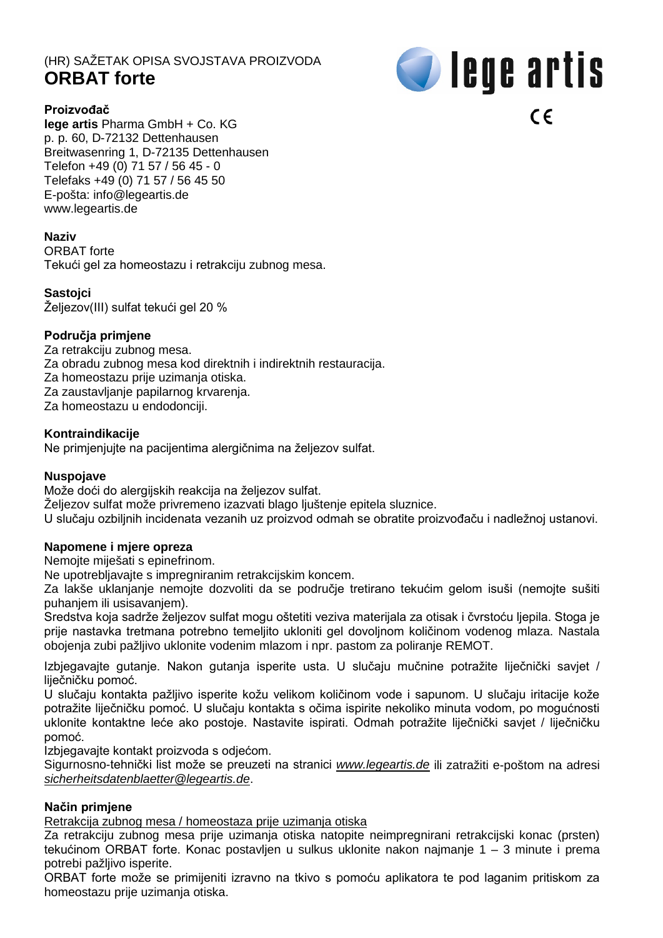# (HR) SAŽETAK OPISA SVOJSTAVA PROIZVODA **ORBAT forte**



## **Proizvođač**

**lege artis** Pharma GmbH + Co. KG p. p. 60, D-72132 Dettenhausen Breitwasenring 1, D-72135 Dettenhausen Telefon +49 (0) 71 57 / 56 45 - 0 Telefaks +49 (0) 71 57 / 56 45 50 E-pošta: [info@legeartis.de](mailto:info@legeartis.de) www.legeartis.de

## **Naziv**

ORBAT forte

Tekući gel za homeostazu i retrakciju zubnog mesa.

#### **Sastojci**

Željezov(III) sulfat tekući gel 20 %

#### **Područja primjene**

Za retrakciju zubnog mesa.

- Za obradu zubnog mesa kod direktnih i indirektnih restauracija.
- Za homeostazu prije uzimanja otiska.
- Za zaustavljanje papilarnog krvarenja.

Za homeostazu u endodonciji.

#### **Kontraindikacije**

Ne primjenjujte na pacijentima alergičnima na željezov sulfat.

#### **Nuspojave**

Može doći do alergijskih reakcija na željezov sulfat.

Željezov sulfat može privremeno izazvati blago ljuštenje epitela sluznice.

U slučaju ozbiljnih incidenata vezanih uz proizvod odmah se obratite proizvođaču i nadležnoj ustanovi.

#### **Napomene i mjere opreza**

Nemojte miješati s epinefrinom.

Ne upotrebljavajte s impregniranim retrakcijskim koncem.

Za lakše uklanjanje nemojte dozvoliti da se područje tretirano tekućim gelom isuši (nemojte sušiti puhanjem ili usisavanjem).

Sredstva koja sadrže željezov sulfat mogu oštetiti veziva materijala za otisak i čvrstoću ljepila. Stoga je prije nastavka tretmana potrebno temeljito ukloniti gel dovoljnom količinom vodenog mlaza. Nastala obojenja zubi pažljivo uklonite vodenim mlazom i npr. pastom za poliranje REMOT.

Izbjegavajte gutanje. Nakon gutanja isperite usta. U slučaju mučnine potražite liječnički savjet / liječničku pomoć.

U slučaju kontakta pažljivo isperite kožu velikom količinom vode i sapunom. U slučaju iritacije kože potražite liječničku pomoć. U slučaju kontakta s očima ispirite nekoliko minuta vodom, po mogućnosti uklonite kontaktne leće ako postoje. Nastavite ispirati. Odmah potražite liječnički savjet / liječničku pomoć.

Izbjegavajte kontakt proizvoda s odjećom.

Sigurnosno-tehnički list može se preuzeti na stranici *[www.legeartis.de](http://www.legeartis.de/)* ili zatražiti e-poštom na adresi *[sicherheitsdatenblaetter@legeartis.de](mailto:sicherheitsdatenblaetter@legeartis.de)*.

#### **Način primjene**

Retrakcija zubnog mesa / homeostaza prije uzimanja otiska

Za retrakciju zubnog mesa prije uzimanja otiska natopite neimpregnirani retrakcijski konac (prsten) tekućinom ORBAT forte. Konac postavljen u sulkus uklonite nakon najmanje 1 – 3 minute i prema potrebi pažljivo isperite.

ORBAT forte može se primijeniti izravno na tkivo s pomoću aplikatora te pod laganim pritiskom za homeostazu prije uzimanja otiska.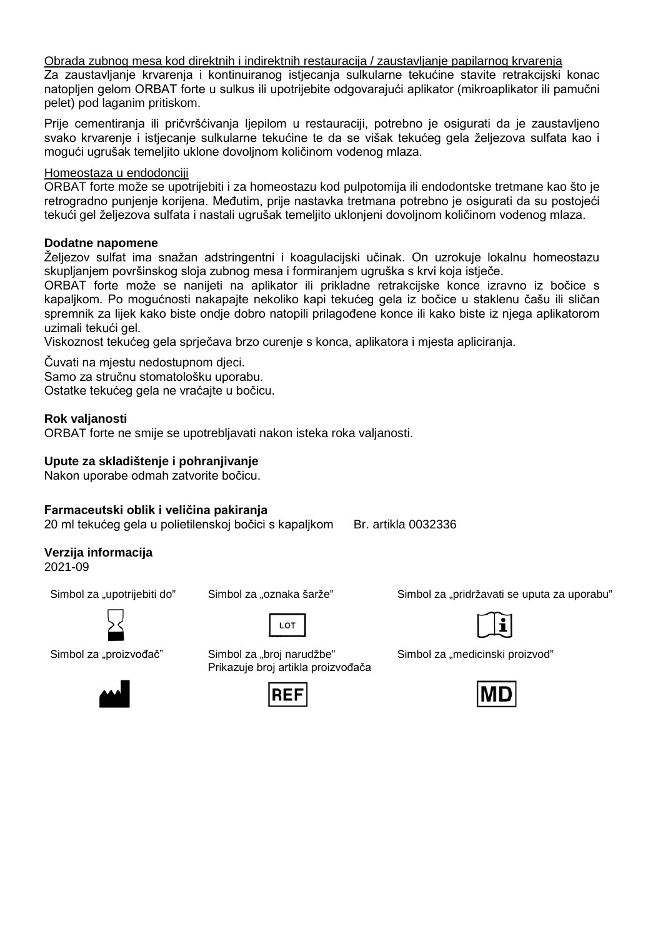Obrada zubnog mesa kod direktnih i indirektnih restauracija / zaustavljanje papilarnog krvarenja

Za zaustavljanje krvarenja i kontinuiranog istjecanja sulkularne tekućine stavite retrakcijski konac natopljen gelom ORBAT forte u sulkus ili upotrijebite odgovarajući aplikator (mikroaplikator ili pamučni pelet) pod laganim pritiskom.

Prije cementiranja ili pričvršćivanja ljepilom u restauraciji, potrebno je osigurati da je zaustavljeno svako krvarenje i istjecanje sulkularne tekućine te da se višak tekućeg gela željezova sulfata kao i mogući ugrušak temeljito uklone dovoljnom količinom vodenog mlaza.

## Homeostaza u endodonciji

ORBAT forte može se upotrijebiti i za homeostazu kod pulpotomija ili endodontske tretmane kao što je retrogradno punjenje korijena. Međutim, prije nastavka tretmana potrebno je osigurati da su postojeći tekući gel željezova sulfata i nastali ugrušak temeljito uklonjeni dovoljnom količinom vodenog mlaza.

#### **Dodatne napomene**

Željezov sulfat ima snažan adstringentni i koagulacijski učinak. On uzrokuje lokalnu homeostazu skupljanjem površinskog sloja zubnog mesa i formiranjem ugruška s krvi koja istječe.

ORBAT forte može se nanijeti na aplikator ili prikladne retrakcijske konce izravno iz bočice s kapaljkom. Po mogućnosti nakapajte nekoliko kapi tekućeg gela iz bočice u staklenu čašu ili sličan spremnik za lijek kako biste ondje dobro natopili prilagođene konce ili kako biste iz njega aplikatorom uzimali tekući gel.

Viskoznost tekućeg gela sprječava brzo curenje s konca, aplikatora i mjesta apliciranja.

Čuvati na mjestu nedostupnom djeci. Samo za stručnu stomatološku uporabu. Ostatke tekućeg gela ne vraćajte u bočicu.

#### **Rok valjanosti**

ORBAT forte ne smije se upotrebljavati nakon isteka roka valjanosti.

## **Upute za skladištenje i pohranjivanje**

Nakon uporabe odmah zatvorite bočicu.

## **Farmaceutski oblik i veličina pakiranja**

20 ml tekućeg gela u polietilenskoj bočici s kapaljkom Br. artikla 0032336

**Verzija informacija**

2021-09





Simbol za "proizvođač" Simbol za "broj narudžbe" Prikazuje broj artikla proizvođača



Simbol za "upotrijebiti do" Simbol za "oznaka šarže" Simbol za "pridržavati se uputa za uporabu"



Simbol za "medicinski proizvod"

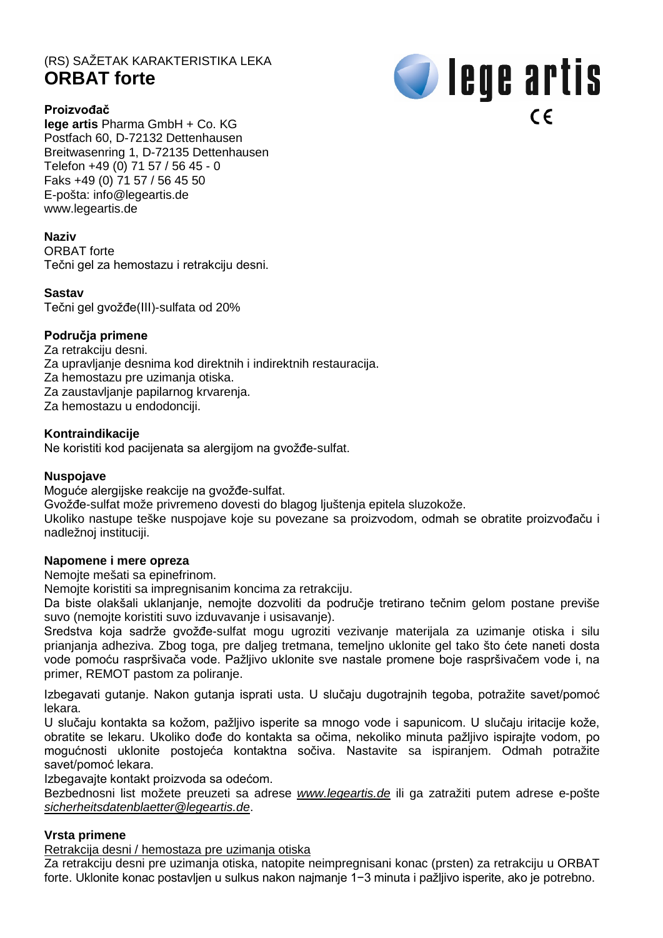# (RS) SAŽETAK KARAKTERISTIKA LEKA **ORBAT forte**



## **Proizvođač**

**lege artis** Pharma GmbH + Co. KG Postfach 60, D-72132 Dettenhausen Breitwasenring 1, D-72135 Dettenhausen Telefon +49 (0) 71 57 / 56 45 - 0 Faks +49 (0) 71 57 / 56 45 50 E-pošta: [info@legeartis.de](mailto:info@legeartis.de) www.legeartis.de

## **Naziv**

ORBAT forte Tečni gel za hemostazu i retrakciju desni.

#### **Sastav**

Tečni gel gvožđe(III)-sulfata od 20%

## **Područja primene**

- Za retrakciju desni.
- Za upravljanje desnima kod direktnih i indirektnih restauracija.
- Za hemostazu pre uzimanja otiska.
- Za zaustavljanje papilarnog krvarenja.
- Za hemostazu u endodonciji.

#### **Kontraindikacije**

Ne koristiti kod pacijenata sa alergijom na gvožđe-sulfat.

#### **Nuspojave**

Moguće alergijske reakcije na gvožđe-sulfat.

Gvožđe-sulfat može privremeno dovesti do blagog ljuštenja epitela sluzokože.

Ukoliko nastupe teške nuspojave koje su povezane sa proizvodom, odmah se obratite proizvođaču i nadležnoj instituciji.

#### **Napomene i mere opreza**

Nemojte mešati sa epinefrinom.

Nemojte koristiti sa impregnisanim koncima za retrakciju.

Da biste olakšali uklanjanje, nemojte dozvoliti da područje tretirano tečnim gelom postane previše suvo (nemojte koristiti suvo izduvavanje i usisavanje).

Sredstva koja sadrže gvožđe-sulfat mogu ugroziti vezivanje materijala za uzimanje otiska i silu prianjanja adheziva. Zbog toga, pre daljeg tretmana, temeljno uklonite gel tako što ćete naneti dosta vode pomoću raspršivača vode. Pažljivo uklonite sve nastale promene boje raspršivačem vode i, na primer, REMOT pastom za poliranje.

Izbegavati gutanje. Nakon gutanja isprati usta. U slučaju dugotrajnih tegoba, potražite savet/pomoć lekara.

U slučaju kontakta sa kožom, pažljivo isperite sa mnogo vode i sapunicom. U slučaju iritacije kože, obratite se lekaru. Ukoliko dođe do kontakta sa očima, nekoliko minuta pažljivo ispirajte vodom, po mogućnosti uklonite postojeća kontaktna sočiva. Nastavite sa ispiranjem. Odmah potražite savet/pomoć lekara.

Izbegavajte kontakt proizvoda sa odećom.

Bezbednosni list možete preuzeti sa adrese *[www.legeartis.de](http://www.legeartis.de/)* ili ga zatražiti putem adrese e-pošte *[sicherheitsdatenblaetter@legeartis.de](mailto:sicherheitsdatenblaetter@legeartis.de)*.

## **Vrsta primene**

Retrakcija desni / hemostaza pre uzimanja otiska

Za retrakciju desni pre uzimanja otiska, natopite neimpregnisani konac (prsten) za retrakciju u ORBAT forte. Uklonite konac postavljen u sulkus nakon najmanje 1−3 minuta i pažljivo isperite, ako je potrebno.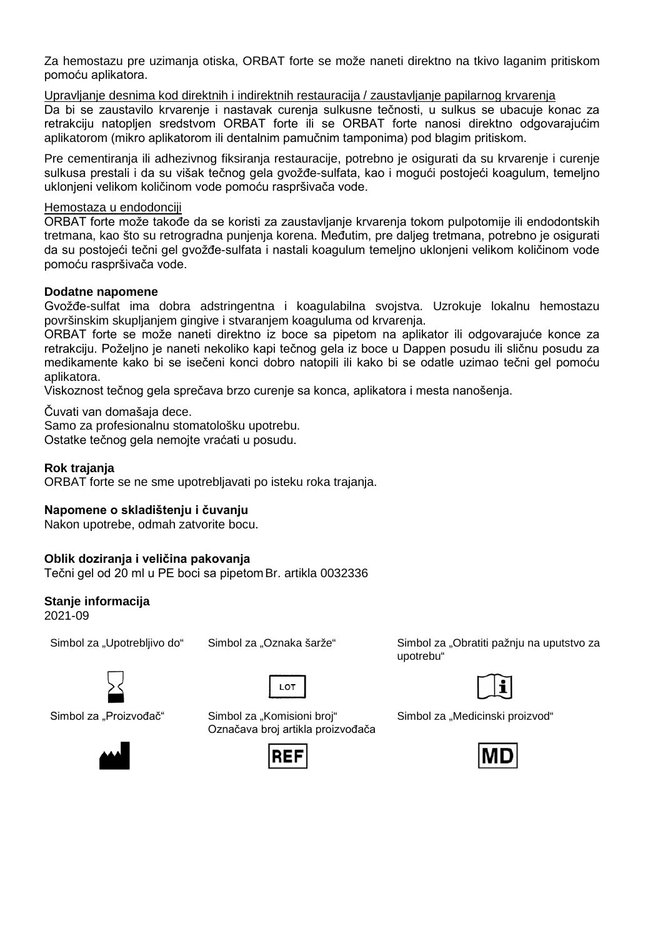Za hemostazu pre uzimanja otiska, ORBAT forte se može naneti direktno na tkivo laganim pritiskom pomoću aplikatora.

Upravljanje desnima kod direktnih i indirektnih restauracija / zaustavljanje papilarnog krvarenja Da bi se zaustavilo krvarenje i nastavak curenja sulkusne tečnosti, u sulkus se ubacuje konac za retrakciju natopljen sredstvom ORBAT forte ili se ORBAT forte nanosi direktno odgovarajućim aplikatorom (mikro aplikatorom ili dentalnim pamučnim tamponima) pod blagim pritiskom.

Pre cementiranja ili adhezivnog fiksiranja restauracije, potrebno je osigurati da su krvarenje i curenje sulkusa prestali i da su višak tečnog gela gvožđe-sulfata, kao i mogući postojeći koagulum, temeljno uklonjeni velikom količinom vode pomoću raspršivača vode.

#### Hemostaza u endodonciji

ORBAT forte može takođe da se koristi za zaustavljanje krvarenja tokom pulpotomije ili endodontskih tretmana, kao što su retrogradna punjenja korena. Međutim, pre daljeg tretmana, potrebno je osigurati da su postojeći tečni gel gvožđe-sulfata i nastali koagulum temeljno uklonjeni velikom količinom vode pomoću raspršivača vode.

## **Dodatne napomene**

Gvožđe-sulfat ima dobra adstringentna i koagulabilna svojstva. Uzrokuje lokalnu hemostazu površinskim skupljanjem gingive i stvaranjem koaguluma od krvarenja.

ORBAT forte se može naneti direktno iz boce sa pipetom na aplikator ili odgovarajuće konce za retrakciju. Poželjno je naneti nekoliko kapi tečnog gela iz boce u Dappen posudu ili sličnu posudu za medikamente kako bi se isečeni konci dobro natopili ili kako bi se odatle uzimao tečni gel pomoću aplikatora.

Viskoznost tečnog gela sprečava brzo curenje sa konca, aplikatora i mesta nanošenja.

Čuvati van domašaja dece.

Samo za profesionalnu stomatološku upotrebu.

Ostatke tečnog gela nemojte vraćati u posudu.

## **Rok trajanja**

ORBAT forte se ne sme upotrebljavati po isteku roka trajanja.

## **Napomene o skladištenju i čuvanju**

Nakon upotrebe, odmah zatvorite bocu.

## **Oblik doziranja i veličina pakovanja**

Tečni gel od 20 ml u PE boci sa pipetomBr. artikla 0032336

## **Stanje informacija**

2021-09







Simbol za "Proizvođač" Simbol za "Komisioni broj" Označava broj artikla proizvođača



Simbol za "Upotrebljivo do" Simbol za "Oznaka šarže" Simbol za "Obratiti pažnju na uputstvo za upotrebu"



Simbol za "Medicinski proizvod"

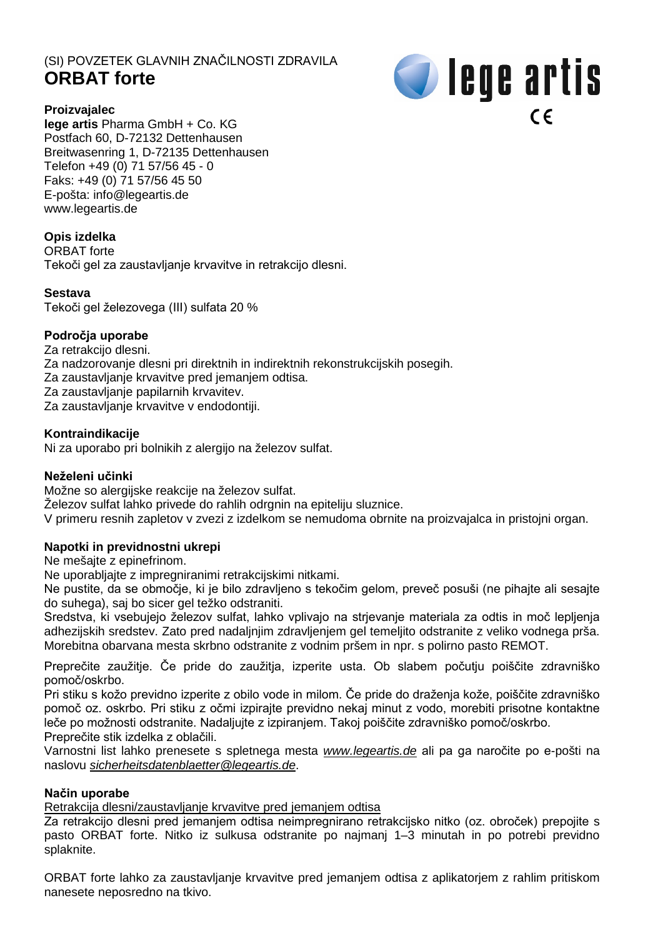# (SI) POVZETEK GLAVNIH ZNAČILNOSTI ZDRAVILA **ORBAT forte**



## **Proizvajalec**

**lege artis** Pharma GmbH + Co. KG Postfach 60, D-72132 Dettenhausen Breitwasenring 1, D-72135 Dettenhausen Telefon +49 (0) 71 57/56 45 - 0 Faks: +49 (0) 71 57/56 45 50 E-pošta: [info@legeartis.de](mailto:info@legeartis.de) www.legeartis.de

## **Opis izdelka**

ORBAT forte Tekoči gel za zaustavljanje krvavitve in retrakcijo dlesni.

## **Sestava**

Tekoči gel železovega (III) sulfata 20 %

## **Področja uporabe**

- Za retrakcijo dlesni.
- Za nadzorovanje dlesni pri direktnih in indirektnih rekonstrukcijskih posegih.
- Za zaustavlianje krvavitve pred jemanjem odtisa.

Za zaustavljanje papilarnih krvavitev.

Za zaustavljanje krvavitve v endodontiji.

## **Kontraindikacije**

Ni za uporabo pri bolnikih z alergijo na železov sulfat.

## **Neželeni učinki**

Možne so alergijske reakcije na železov sulfat.

Železov sulfat lahko privede do rahlih odrgnin na epiteliju sluznice.

V primeru resnih zapletov v zvezi z izdelkom se nemudoma obrnite na proizvajalca in pristojni organ.

## **Napotki in previdnostni ukrepi**

Ne mešajte z epinefrinom.

Ne uporabljajte z impregniranimi retrakcijskimi nitkami.

Ne pustite, da se območje, ki je bilo zdravljeno s tekočim gelom, preveč posuši (ne pihajte ali sesajte do suhega), saj bo sicer gel težko odstraniti.

Sredstva, ki vsebujejo železov sulfat, lahko vplivajo na strjevanje materiala za odtis in moč lepljenja adhezijskih sredstev. Zato pred nadaljnjim zdravljenjem gel temeljito odstranite z veliko vodnega prša. Morebitna obarvana mesta skrbno odstranite z vodnim pršem in npr. s polirno pasto REMOT.

Preprečite zaužitje. Če pride do zaužitja, izperite usta. Ob slabem počutju poiščite zdravniško pomoč/oskrbo.

Pri stiku s kožo previdno izperite z obilo vode in milom. Če pride do draženja kože, poiščite zdravniško pomoč oz. oskrbo. Pri stiku z očmi izpirajte previdno nekaj minut z vodo, morebiti prisotne kontaktne leče po možnosti odstranite. Nadaljujte z izpiranjem. Takoj poiščite zdravniško pomoč/oskrbo.

Preprečite stik izdelka z oblačili.

Varnostni list lahko prenesete s spletnega mesta *[www.legeartis.de](http://www.legeartis.de/)* ali pa ga naročite po e-pošti na naslovu *[sicherheitsdatenblaetter@legeartis.de](mailto:sicherheitsdatenblaetter@legeartis.de)*.

## **Način uporabe**

Retrakcija dlesni/zaustavljanje krvavitve pred jemanjem odtisa

Za retrakcijo dlesni pred jemanjem odtisa neimpregnirano retrakcijsko nitko (oz. obroček) prepojite s pasto ORBAT forte. Nitko iz sulkusa odstranite po najmanj 1–3 minutah in po potrebi previdno splaknite.

ORBAT forte lahko za zaustavljanje krvavitve pred jemanjem odtisa z aplikatorjem z rahlim pritiskom nanesete neposredno na tkivo.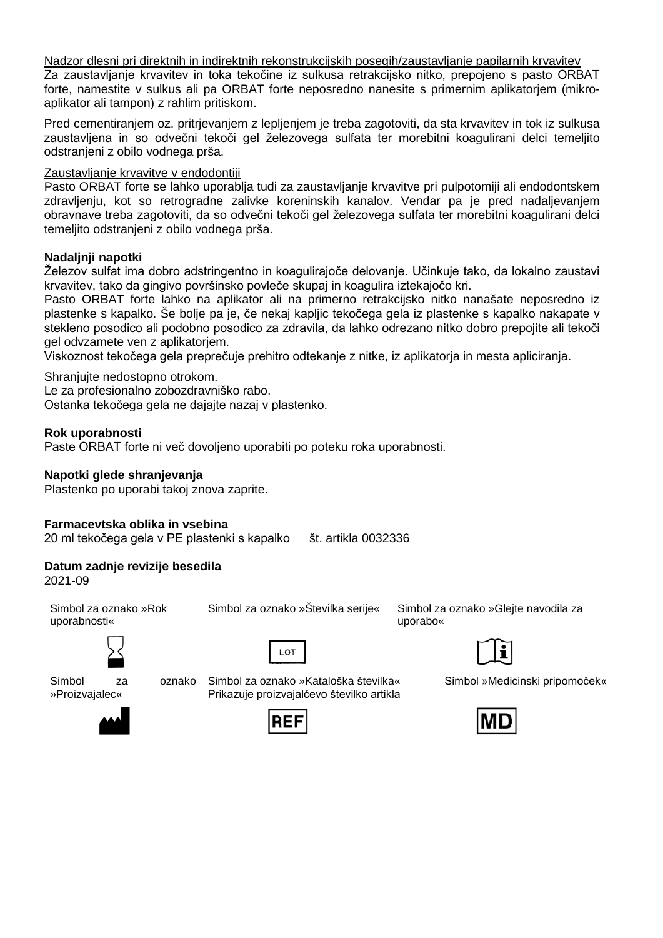Nadzor dlesni pri direktnih in indirektnih rekonstrukcijskih posegih/zaustavljanje papilarnih krvavitev

Za zaustavljanje krvavitev in toka tekočine iz sulkusa retrakcijsko nitko, prepojeno s pasto ORBAT forte, namestite v sulkus ali pa ORBAT forte neposredno nanesite s primernim aplikatorjem (mikroaplikator ali tampon) z rahlim pritiskom.

Pred cementiranjem oz. pritrjevanjem z lepljenjem je treba zagotoviti, da sta krvavitev in tok iz sulkusa zaustavljena in so odvečni tekoči gel železovega sulfata ter morebitni koagulirani delci temeljito odstranjeni z obilo vodnega prša.

## Zaustavljanje krvavitve v endodontiji

Pasto ORBAT forte se lahko uporablja tudi za zaustavljanje krvavitve pri pulpotomiji ali endodontskem zdravljenju, kot so retrogradne zalivke koreninskih kanalov. Vendar pa je pred nadaljevanjem obravnave treba zagotoviti, da so odvečni tekoči gel železovega sulfata ter morebitni koagulirani delci temeljito odstranjeni z obilo vodnega prša.

#### **Nadaljnji napotki**

Železov sulfat ima dobro adstringentno in koagulirajoče delovanje. Učinkuje tako, da lokalno zaustavi krvavitev, tako da gingivo površinsko povleče skupaj in koagulira iztekajočo kri.

Pasto ORBAT forte lahko na aplikator ali na primerno retrakcijsko nitko nanašate neposredno iz plastenke s kapalko. Še bolje pa je, če nekaj kapljic tekočega gela iz plastenke s kapalko nakapate v stekleno posodico ali podobno posodico za zdravila, da lahko odrezano nitko dobro prepojite ali tekoči gel odvzamete ven z aplikatorjem.

Viskoznost tekočega gela preprečuje prehitro odtekanje z nitke, iz aplikatorja in mesta apliciranja.

Shranjujte nedostopno otrokom.

Le za profesionalno zobozdravniško rabo.

Ostanka tekočega gela ne dajajte nazaj v plastenko.

#### **Rok uporabnosti**

Paste ORBAT forte ni več dovoljeno uporabiti po poteku roka uporabnosti.

#### **Napotki glede shranjevanja**

Plastenko po uporabi takoj znova zaprite.

#### **Farmacevtska oblika in vsebina**

20 ml tekočega gela v PE plastenki s kapalko št. artikla 0032336

#### **Datum zadnje revizije besedila**

2021-09

Simbol za oznako »Rok uporabnosti«



Simbol za oznako »Proizvajalec«



Simbol za oznako »Kataloška številka« Prikazuje proizvajalčevo številko artikla





Simbol za oznako »Številka serije« Simbol za oznako »Glejte navodila za uporabo«



Simbol »Medicinski pripomoček«

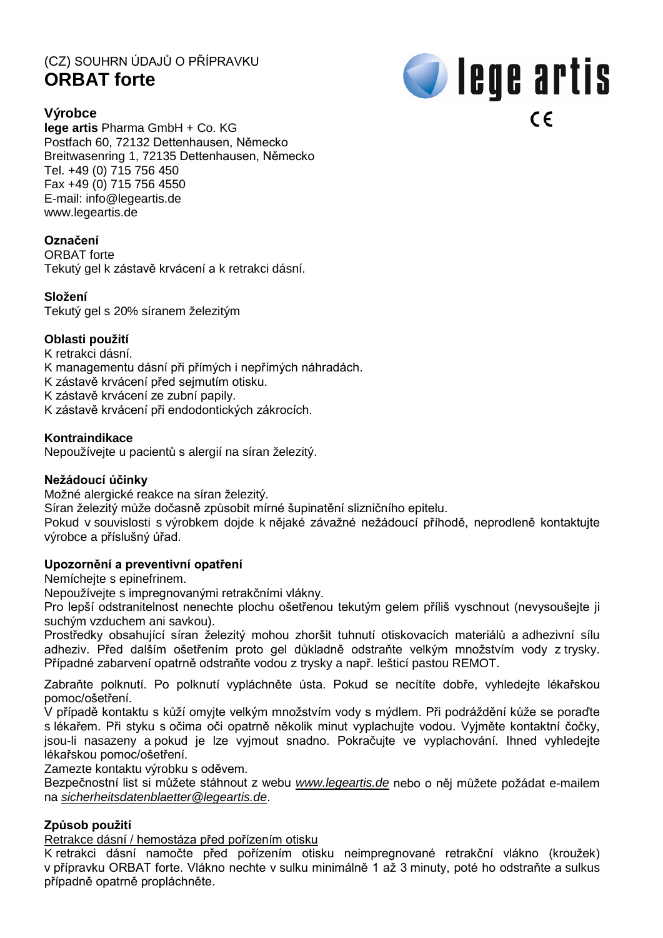# (CZ) SOUHRN ÚDAJŮ O PŘÍPRAVKU **ORBAT forte**



## **Výrobce**

**lege artis** Pharma GmbH + Co. KG Postfach 60, 72132 Dettenhausen, Německo Breitwasenring 1, 72135 Dettenhausen, Německo Tel. +49 (0) 715 756 450 Fax +49 (0) 715 756 4550 E-mail: [info@legeartis.de](mailto:info@legeartis.de) www.legeartis.de

## **Označení**

ORRAT forte Tekutý gel k zástavě krvácení a k retrakci dásní.

## **Složení**

Tekutý gel s 20% síranem železitým

## **Oblasti použití**

K retrakci dásní. K managementu dásní při přímých i nepřímých náhradách. K zástavě krvácení před sejmutím otisku. K zástavě krvácení ze zubní papily. K zástavě krvácení při endodontických zákrocích.

#### **Kontraindikace**

Nepoužívejte u pacientů s alergií na síran železitý.

#### **Nežádoucí účinky**

Možné alergické reakce na síran železitý.

Síran železitý může dočasně způsobit mírné šupinatění slizničního epitelu.

Pokud v souvislosti s výrobkem dojde k nějaké závažné nežádoucí příhodě, neprodleně kontaktujte výrobce a příslušný úřad.

## **Upozornění a preventivní opatření**

Nemíchejte s epinefrinem.

Nepoužívejte s impregnovanými retrakčními vlákny.

Pro lepší odstranitelnost nenechte plochu ošetřenou tekutým gelem příliš vyschnout (nevysoušejte ji suchým vzduchem ani savkou).

Prostředky obsahující síran železitý mohou zhoršit tuhnutí otiskovacích materiálů a adhezivní sílu adheziv. Před dalším ošetřením proto gel důkladně odstraňte velkým množstvím vody z trysky. Případné zabarvení opatrně odstraňte vodou z trysky a např. lešticí pastou REMOT.

Zabraňte polknutí. Po polknutí vypláchněte ústa. Pokud se necítíte dobře, vyhledejte lékařskou pomoc/ošetření.

V případě kontaktu s kůží omyjte velkým množstvím vody s mýdlem. Při podráždění kůže se poraďte s lékařem. Při styku s očima oči opatrně několik minut vyplachujte vodou. Vyjměte kontaktní čočky, jsou-li nasazeny a pokud je lze vyjmout snadno. Pokračujte ve vyplachování. Ihned vyhledejte lékařskou pomoc/ošetření.

Zamezte kontaktu výrobku s oděvem.

Bezpečnostní list si můžete stáhnout z webu *[www.legeartis.de](http://www.legeartis.de/)* nebo o něj můžete požádat e-mailem na *[sicherheitsdatenblaetter@legeartis.de](mailto:sicherheitsdatenblaetter@legeartis.de)*.

## **Způsob použití**

Retrakce dásní / hemostáza před pořízením otisku

K retrakci dásní namočte před pořízením otisku neimpregnované retrakční vlákno (kroužek) v přípravku ORBAT forte. Vlákno nechte v sulku minimálně 1 až 3 minuty, poté ho odstraňte a sulkus případně opatrně propláchněte.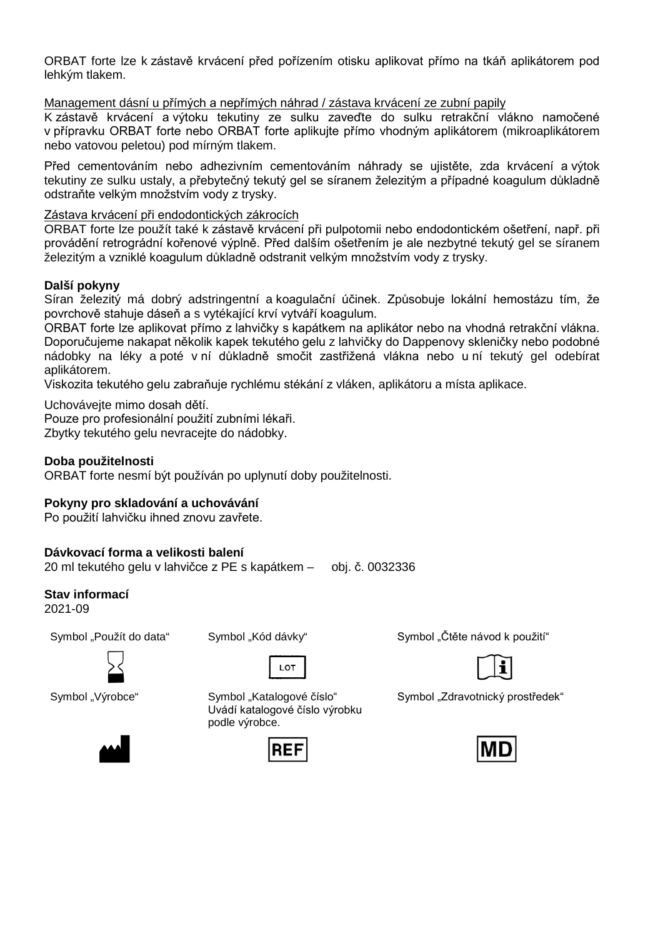ORBAT forte lze k zástavě krvácení před pořízením otisku aplikovat přímo na tkáň aplikátorem pod lehkým tlakem.

Management dásní u přímých a nepřímých náhrad / zástava krvácení ze zubní papily

K zástavě krvácení a výtoku tekutiny ze sulku zaveďte do sulku retrakční vlákno namočené v přípravku ORBAT forte nebo ORBAT forte aplikujte přímo vhodným aplikátorem (mikroaplikátorem nebo vatovou peletou) pod mírným tlakem.

Před cementováním nebo adhezivním cementováním náhrady se ujistěte, zda krvácení a výtok tekutiny ze sulku ustaly, a přebytečný tekutý gel se síranem železitým a případné koagulum důkladně odstraňte velkým množstvím vody z trysky.

## Zástava krvácení při endodontických zákrocích

ORBAT forte lze použít také k zástavě krvácení při pulpotomii nebo endodontickém ošetření, např. při provádění retrográdní kořenové výplně. Před dalším ošetřením je ale nezbytné tekutý gel se síranem železitým a vzniklé koagulum důkladně odstranit velkým množstvím vody z trysky.

#### **Další pokyny**

Síran železitý má dobrý adstringentní a koagulační účinek. Způsobuje lokální hemostázu tím, že povrchově stahuje dáseň a s vytékající krví vytváří koagulum.

ORBAT forte lze aplikovat přímo z lahvičky s kapátkem na aplikátor nebo na vhodná retrakční vlákna. Doporučujeme nakapat několik kapek tekutého gelu z lahvičky do Dappenovy skleničky nebo podobné nádobky na léky a poté v ní důkladně smočit zastřižená vlákna nebo u ní tekutý gel odebírat aplikátorem.

Viskozita tekutého gelu zabraňuje rychlému stékání z vláken, aplikátoru a místa aplikace.

Uchovávejte mimo dosah dětí. Pouze pro profesionální použití zubními lékaři. Zbytky tekutého gelu nevracejte do nádobky.

#### **Doba použitelnosti**

ORBAT forte nesmí být používán po uplynutí doby použitelnosti.

## **Pokyny pro skladování a uchovávání**

Po použití lahvičku ihned znovu zavřete.

#### **Dávkovací forma a velikosti balení**

20 ml tekutého gelu v lahvičce z PE s kapátkem – obj. č. 0032336

#### **Stav informací**

2021-09





Symbol "Výrobce" Symbol "Katalogové číslo" Uvádí katalogové číslo výrobku podle výrobce.

 $10T$ 



Symbol "Použít do data" Symbol "Kód dávky" Symbol "Symbol "Čtěte návod k použití



Symbol "Zdravotnický prostředek"

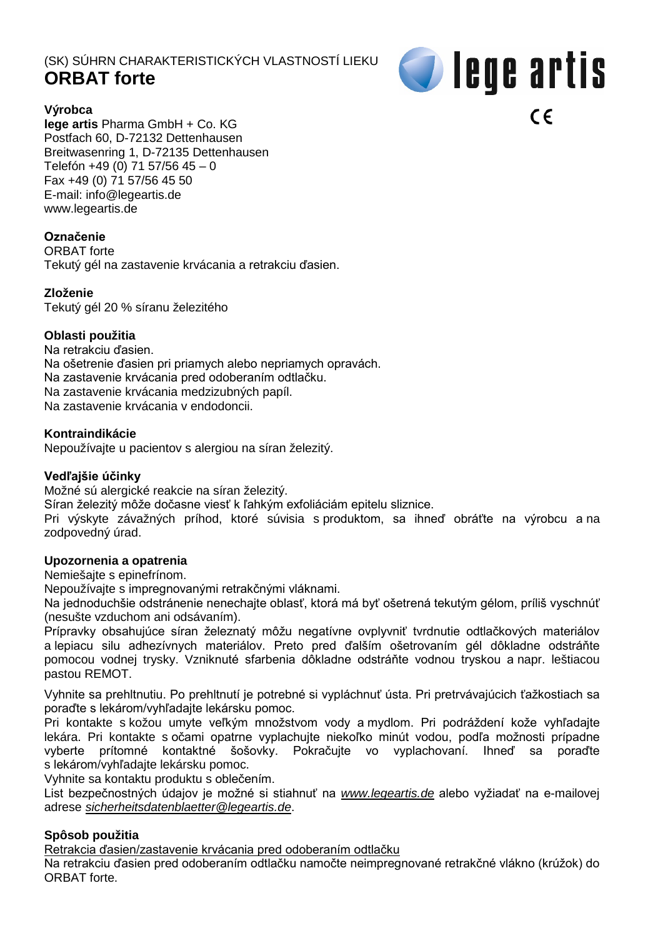# (SK) SÚHRN CHARAKTERISTICKÝCH VLASTNOSTÍ LIEKU **ORBAT forte**

# *S* lege artis **Výrobca**   $\epsilon$

**lege artis** Pharma GmbH + Co. KG Postfach 60, D-72132 Dettenhausen Breitwasenring 1, D-72135 Dettenhausen Telefón +49 (0) 71 57/56 45 – 0 Fax +49 (0) 71 57/56 45 50 E-mail: [info@legeartis.de](mailto:info@legeartis.de) www.legeartis.de

## **Označenie**

ORBAT forte Tekutý gél na zastavenie krvácania a retrakciu ďasien.

## **Zloženie**

Tekutý gél 20 % síranu železitého

## **Oblasti použitia**

Na retrakciu ďasien. Na ošetrenie ďasien pri priamych alebo nepriamych opravách. Na zastavenie krvácania pred odoberaním odtlačku. Na zastavenie krvácania medzizubných papíl. Na zastavenie krvácania v endodoncii.

## **Kontraindikácie**

Nepoužívajte u pacientov s alergiou na síran železitý.

## **Vedľajšie účinky**

Možné sú alergické reakcie na síran železitý.

Síran železitý môže dočasne viesť k ľahkým exfoliáciám epitelu sliznice.

Pri výskyte závažných príhod, ktoré súvisia s produktom, sa ihneď obráťte na výrobcu a na zodpovedný úrad.

## **Upozornenia a opatrenia**

Nemiešajte s epinefrínom.

Nepoužívajte s impregnovanými retrakčnými vláknami.

Na jednoduchšie odstránenie nenechajte oblasť, ktorá má byť ošetrená tekutým gélom, príliš vyschnúť (nesušte vzduchom ani odsávaním).

Prípravky obsahujúce síran železnatý môžu negatívne ovplyvniť tvrdnutie odtlačkových materiálov a lepiacu silu adhezívnych materiálov. Preto pred ďalším ošetrovaním gél dôkladne odstráňte pomocou vodnej trysky. Vzniknuté sfarbenia dôkladne odstráňte vodnou tryskou a napr. leštiacou pastou REMOT.

Vyhnite sa prehltnutiu. Po prehltnutí je potrebné si vypláchnuť ústa. Pri pretrvávajúcich ťažkostiach sa poraďte s lekárom/vyhľadajte lekársku pomoc.

Pri kontakte s kožou umyte veľkým množstvom vody a mydlom. Pri podráždení kože vyhľadajte lekára. Pri kontakte s očami opatrne vyplachujte niekoľko minút vodou, podľa možnosti prípadne vyberte prítomné kontaktné šošovky. Pokračujte vo vyplachovaní. Ihneď sa poraďte s lekárom/vyhľadajte lekársku pomoc.

Vyhnite sa kontaktu produktu s oblečením.

List bezpečnostných údajov je možné si stiahnuť na *[www.legeartis.de](http://www.legeartis.de/)* alebo vyžiadať na e-mailovej adrese *[sicherheitsdatenblaetter@legeartis.de](mailto:sicherheitsdatenblaetter@legeartis.de)*.

## **Spôsob použitia**

Retrakcia ďasien/zastavenie krvácania pred odoberaním odtlačku

Na retrakciu ďasien pred odoberaním odtlačku namočte neimpregnované retrakčné vlákno (krúžok) do ORBAT forte.